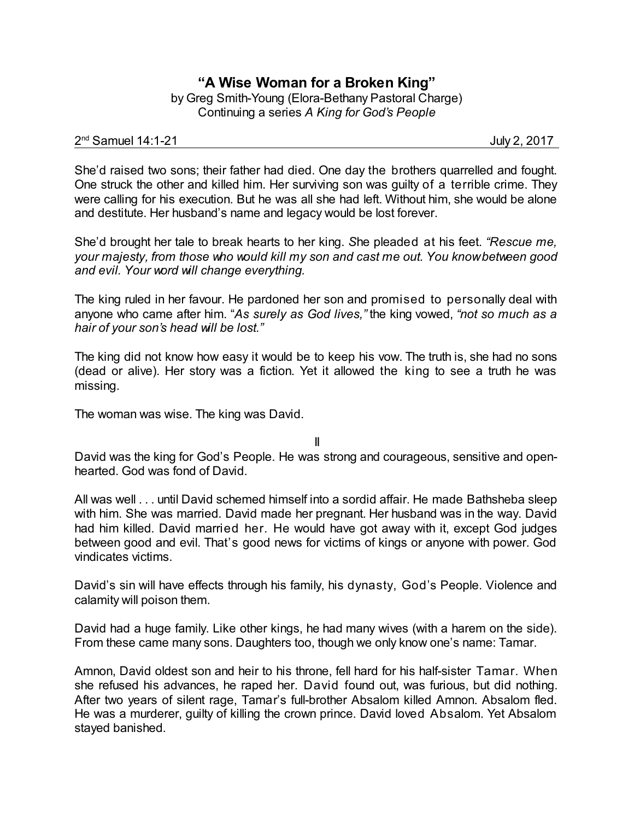## **"A Wise Woman for a Broken King"**

by Greg Smith-Young (Elora-Bethany Pastoral Charge) Continuing a series *A King for God's People*

## 2 nd Samuel 14:1-21 July 2, 2017

She'd raised two sons; their father had died. One day the brothers quarrelled and fought. One struck the other and killed him. Her surviving son was guilty of a terrible crime. They were calling for his execution. But he was all she had left. Without him, she would be alone and destitute. Her husband's name and legacy would be lost forever.

She'd brought her tale to break hearts to her king. *S*he pleaded at his feet. *"Rescue me, your majesty, from those who would kill my son and cast me out. You knowbetween good and evil. Your word will change everything.*

The king ruled in her favour. He pardoned her son and promised to personally deal with anyone who came after him. "*As surely as God lives,"* the king vowed, *"not so much as a hair of your son's head will be lost."*

The king did not know how easy it would be to keep his vow. The truth is, she had no sons (dead or alive). Her story was a fiction. Yet it allowed the king to see a truth he was missing.

The woman was wise. The king was David.

II

David was the king for God's People. He was strong and courageous, sensitive and openhearted. God was fond of David.

All was well . . . until David schemed himself into a sordid affair. He made Bathsheba sleep with him. She was married. David made her pregnant. Her husband was in the way. David had him killed. David married her. He would have got away with it, except God judges between good and evil. That's good news for victims of kings or anyone with power. God vindicates victims.

David's sin will have effects through his family, his dynasty, God's People. Violence and calamity will poison them.

David had a huge family. Like other kings, he had many wives (with a harem on the side). From these came many sons. Daughters too, though we only know one's name: Tamar.

Amnon, David oldest son and heir to his throne, fell hard for his half-sister Tamar. When she refused his advances, he raped her. David found out, was furious, but did nothing. After two years of silent rage, Tamar's full-brother Absalom killed Amnon. Absalom fled. He was a murderer, guilty of killing the crown prince. David loved Absalom. Yet Absalom stayed banished.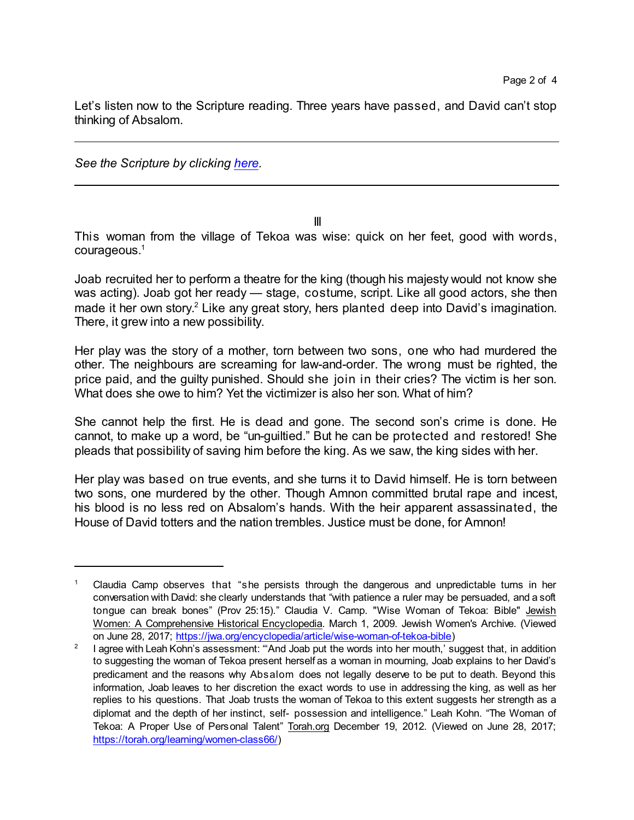Let's listen now to the Scripture reading. Three years have passed, and David can't stop thinking of Absalom.

*See the Scripture by clicking [here](https://www.biblegateway.com/passage/?search=2+samuel+14&version=CEB).*

III

This woman from the village of Tekoa was wise: quick on her feet, good with words, courageous.<sup>1</sup>

Joab recruited her to perform a theatre for the king (though his majesty would not know she was acting). Joab got her ready — stage, costume, script. Like all good actors, she then made it her own story. <sup>2</sup> Like any great story, hers planted deep into David's imagination. There, it grew into a new possibility.

Her play was the story of a mother, torn between two sons, one who had murdered the other. The neighbours are screaming for law-and-order. The wrong must be righted, the price paid, and the guilty punished. Should she join in their cries? The victim is her son. What does she owe to him? Yet the victimizer is also her son. What of him?

She cannot help the first. He is dead and gone. The second son's crime is done. He cannot, to make up a word, be "un-guiltied." But he can be protected and restored! She pleads that possibility of saving him before the king. As we saw, the king sides with her.

Her play was based on true events, and she turns it to David himself. He is torn between two sons, one murdered by the other. Though Amnon committed brutal rape and incest, his blood is no less red on Absalom's hands. With the heir apparent assassinated, the House of David totters and the nation trembles. Justice must be done, for Amnon!

<sup>1</sup> Claudia Camp observes that "she persists through the dangerous and unpredictable turns in her conversation with David: she clearly understands that "with patience a ruler may be persuaded, and a soft tongue can break bones" (Prov 25:15)." Claudia V. Camp. "Wise Woman of Tekoa: Bible" Jewish Women: A Comprehensive Historical Encyclopedia. March 1, 2009. Jewish Women's Archive. (Viewed on June 28, 2017; [https://jwa.org/encyclopedia/article/wise-woman-of-tekoa-bible](<https://jwa.org/encyclopedia/article/wise-woman-of-tekoa-bible))

<sup>2</sup> I agree with Leah Kohn's assessment: "'And Joab put the words into her mouth,' suggest that, in addition to suggesting the woman of Tekoa present herself as a woman in mourning, Joab explains to her David's predicament and the reasons why Absalom does not legally deserve to be put to death. Beyond this information, Joab leaves to her discretion the exact words to use in addressing the king, as well as her replies to his questions. That Joab trusts the woman of Tekoa to this extent suggests her strength as a diplomat and the depth of her instinct, self- possession and intelligence." Leah Kohn. "The Woman of Tekoa: A Proper Use of Personal Talent" Torah.org December 19, 2012. (Viewed on June 28, 2017; <https://torah.org/learning/women-class66/>)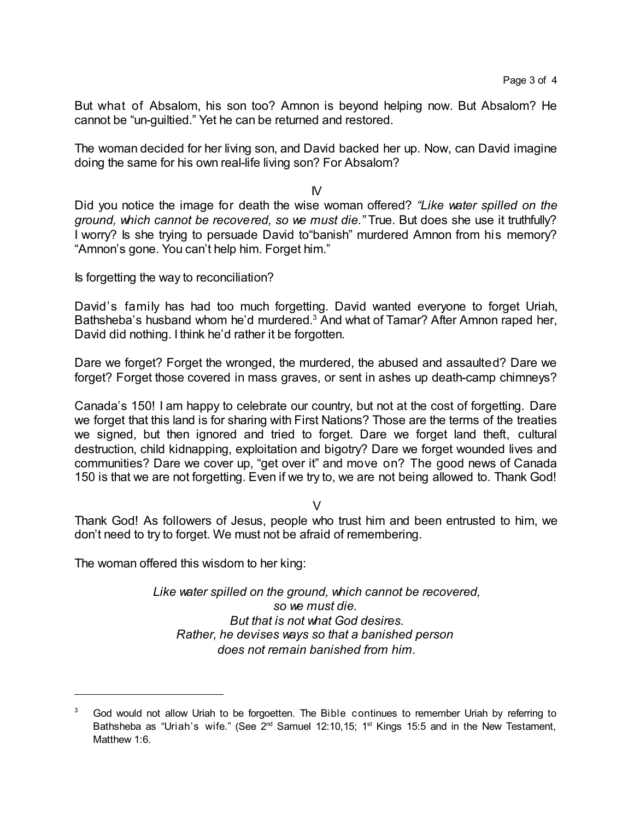But what of Absalom, his son too? Amnon is beyond helping now. But Absalom? He cannot be "un-guiltied." Yet he can be returned and restored.

The woman decided for her living son, and David backed her up. Now, can David imagine doing the same for his own real-life living son? For Absalom?

IV

Did you notice the image for death the wise woman offered? *"Like water spilled on the ground, which cannot be recovered, so we must die."* True. But does she use it truthfully? I worry? Is she trying to persuade David to"banish" murdered Amnon from his memory? "Amnon's gone. You can't help him. Forget him."

Is forgetting the way to reconciliation?

David's family has had too much forgetting. David wanted everyone to forget Uriah, Bathsheba's husband whom he'd murdered.<sup>3</sup> And what of Tamar? After Amnon raped her, David did nothing. I think he'd rather it be forgotten.

Dare we forget? Forget the wronged, the murdered, the abused and assaulted? Dare we forget? Forget those covered in mass graves, or sent in ashes up death-camp chimneys?

Canada's 150! I am happy to celebrate our country, but not at the cost of forgetting. Dare we forget that this land is for sharing with First Nations? Those are the terms of the treaties we signed, but then ignored and tried to forget. Dare we forget land theft, cultural destruction, child kidnapping, exploitation and bigotry? Dare we forget wounded lives and communities? Dare we cover up, "get over it" and move on? The good news of Canada 150 is that we are not forgetting. Even if we try to, we are not being allowed to. Thank God!

 $\vee$ 

Thank God! As followers of Jesus, people who trust him and been entrusted to him, we don't need to try to forget. We must not be afraid of remembering.

The woman offered this wisdom to her king:

*Like water spilled on the ground, which cannot be recovered, so we must die. But that is not what God desires. Rather, he devises ways so that a banished person does not remain banished from him.*

God would not allow Uriah to be forgoetten. The Bible continues to remember Uriah by referring to Bathsheba as "Uriah's wife." (See 2<sup>nd</sup> Samuel 12:10,15; 1<sup>st</sup> Kings 15:5 and in the New Testament, Matthew 1:6.